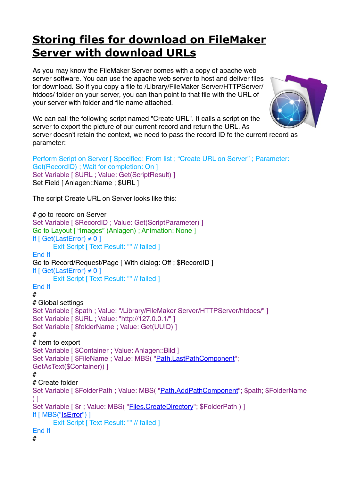## **[Storing files for download on FileMaker](https://www.mbs-plugins.com/archive/2018-09-20/Storing_files_for_download_on_/monkeybreadsoftware_blog_filemaker)  [Server with download URLs](https://www.mbs-plugins.com/archive/2018-09-20/Storing_files_for_download_on_/monkeybreadsoftware_blog_filemaker)**

As you may know the FileMaker Server comes with a copy of apache web server software. You can use the apache web server to host and deliver files for download. So if you copy a file to /Library/FileMaker Server/HTTPServer/ htdocs/ folder on your server, you can than point to that file with the URL of your server with folder and file name attached.



We can call the following script named "Create URL". It calls a script on the server to export the picture of our current record and return the URL. As server doesn't retain the context, we need to pass the record ID fo the current record as

parameter: Perform Script on Server [ Specified: From list ; "Create URL on Server" ; Parameter:

```
Get(RecordID) ; Wait for completion: On ]
Set Variable [ $URL ; Value: Get(ScriptResult) ]
Set Field [ Anlagen::Name ; $URL ]
```
The script Create URL on Server looks like this:

```
# go to record on Server
Set Variable [ $RecordID ; Value: Get(ScriptParameter) ]
Go to Layout [ "Images" (Anlagen) ; Animation: None ]
If \lceil Get(LastError) \neq 0 ]
       Exit Script [ Text Result: "" // failed ]
End If
Go to Record/Request/Page [ With dialog: Off ; $RecordID ]
If \lceil Get(LastError) \neq 0 ]
       Exit Script [ Text Result: "" // failed ]
End If
#
# Global settings
Set Variable [ $path ; Value: "/Library/FileMaker Server/HTTPServer/htdocs/" ]
Set Variable [ $URL ; Value: "http://127.0.0.1/" ]
Set Variable [ $folderName ; Value: Get(UUID) ]
#
# Item to export
Set Variable [ $Container ; Value: Anlagen::Bild ]
"Path.LastPathComponent";
GetAsText($Container)) ]
#
# Create folder
Set Variable [ $FolderPath ; Value: MBS( "Path.AddPathComponent"; $path; $FolderName 
\overline{)1}Set Variable [ \text{\$r} ; Value: MBS( "Files. Create Directory"; \text{\$FolderPath} ) ]
If [ MBS("IsError") ]
       Exit Script [ Text Result: "" // failed ]
End If
#
```